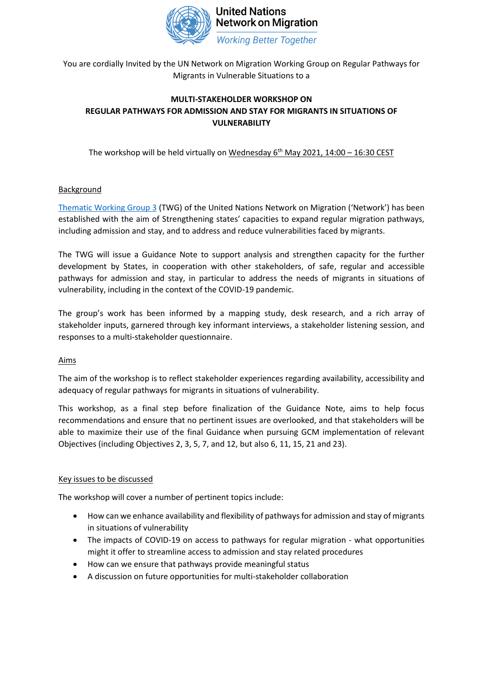

You are cordially Invited by the UN Network on Migration Working Group on Regular Pathways for Migrants in Vulnerable Situations to a

# **MULTI-STAKEHOLDER WORKSHOP ON REGULAR PATHWAYS FOR ADMISSION AND STAY FOR MIGRANTS IN SITUATIONS OF VULNERABILITY**

The workshop will be held virtually on Wednesday  $6<sup>th</sup>$  May 2021, 14:00 – 16:30 CEST

# **Background**

[Thematic Working Group 3](https://migrationnetwork.un.org/thematic-working-group-3-regular-pathways-migrants-vulnerable-situationshttps:/migrationnetwork.un.org/thematic-working-group-3-regular-pathways-migrants-vulnerable-situations) (TWG) of the United Nations Network on Migration ('Network') has been established with the aim of Strengthening states' capacities to expand regular migration pathways, including admission and stay, and to address and reduce vulnerabilities faced by migrants.

The TWG will issue a Guidance Note to support analysis and strengthen capacity for the further development by States, in cooperation with other stakeholders, of safe, regular and accessible pathways for admission and stay, in particular to address the needs of migrants in situations of vulnerability, including in the context of the COVID-19 pandemic.

The group's work has been informed by a mapping study, desk research, and a rich array of stakeholder inputs, garnered through key informant interviews, a stakeholder listening session, and responses to a multi-stakeholder questionnaire.

### Aims

The aim of the workshop is to reflect stakeholder experiences regarding availability, accessibility and adequacy of regular pathways for migrants in situations of vulnerability.

This workshop, as a final step before finalization of the Guidance Note, aims to help focus recommendations and ensure that no pertinent issues are overlooked, and that stakeholders will be able to maximize their use of the final Guidance when pursuing GCM implementation of relevant Objectives (including Objectives 2, 3, 5, 7, and 12, but also 6, 11, 15, 21 and 23).

### Key issues to be discussed

The workshop will cover a number of pertinent topics include:

- How can we enhance availability and flexibility of pathways for admission and stay of migrants in situations of vulnerability
- The impacts of COVID-19 on access to pathways for regular migration what opportunities might it offer to streamline access to admission and stay related procedures
- How can we ensure that pathways provide meaningful status
- A discussion on future opportunities for multi-stakeholder collaboration